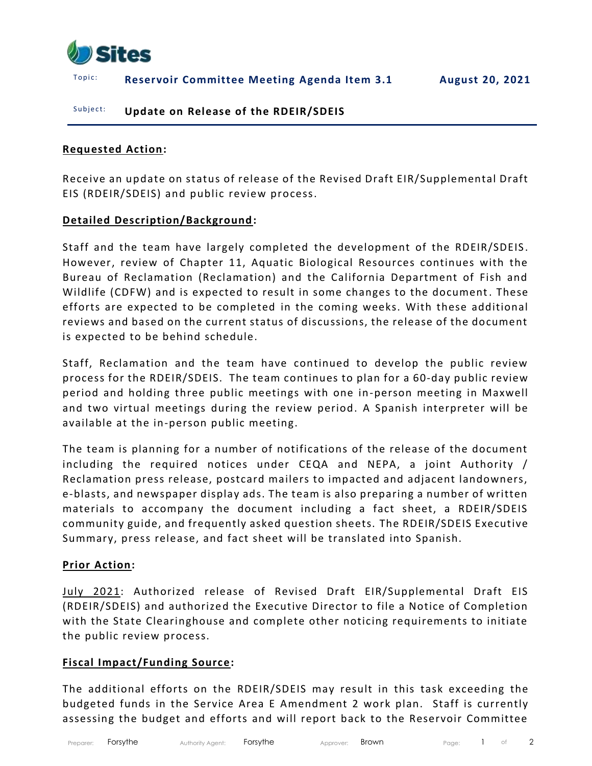

T o p i c : **Reservoir Committee Meeting Agenda Item 3.1 August 20, 2021**

### Subject: **Update on Release of the RDEIR/SDEIS**

#### **Requested Action:**

Receive an update on status of release of the Revised Draft EIR/Supplemental Draft EIS (RDEIR/SDEIS) and public review process.

#### **Detailed Description/Background:**

Staff and the team have largely completed the development of the RDEIR/SDEIS . However, review of Chapter 11, Aquatic Biological Resources continues with the Bureau of Reclamation (Reclamation) and the California Department of Fish and Wildlife (CDFW) and is expected to result in some changes to the document. These efforts are expected to be completed in the coming weeks. With these additional reviews and based on the current status of discussions, the release of the document is expected to be behind schedule.

Staff, Reclamation and the team have continued to develop the public review process for the RDEIR/SDEIS. The team continues to plan for a 60-day public review period and holding three public meetings with one in-person meeting in Maxwell and two virtual meetings during the review period. A Spanish interpreter will be available at the in-person public meeting.

The team is planning for a number of notifications of the release of the document including the required notices under CEQA and NEPA, a joint Authority / Reclamation press release, postcard mailers to impacted and adjacent landowners, e-blasts, and newspaper display ads. The team is also preparing a number of written materials to accompany the document including a fact sheet, a RDEIR/SDEIS community guide, and frequently asked question sheets. The RDEIR/SDEIS Executive Summary, press release, and fact sheet will be translated into Spanish.

#### **Prior Action:**

July 2021: Authorized release of Revised Draft EIR/Supplemental Draft EIS (RDEIR/SDEIS) and authorized the Executive Director to file a Notice of Completion with the State Clearinghouse and complete other noticing requirements to initiate the public review process.

#### **Fiscal Impact/Funding Source:**

The additional efforts on the RDEIR/SDEIS may result in this task exceeding the budgeted funds in the Service Area E Amendment 2 work plan. Staff is currently assessing the budget and efforts and will report back to the Reservoir Committee